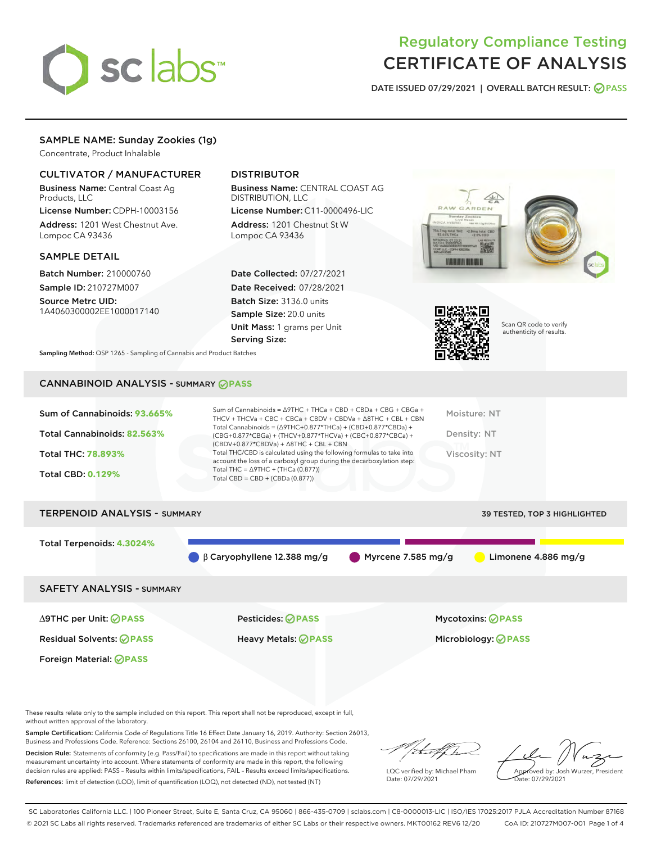

# Regulatory Compliance Testing CERTIFICATE OF ANALYSIS

DATE ISSUED 07/29/2021 | OVERALL BATCH RESULT: @ PASS

# SAMPLE NAME: Sunday Zookies (1g)

Concentrate, Product Inhalable

### CULTIVATOR / MANUFACTURER

Business Name: Central Coast Ag Products, LLC

License Number: CDPH-10003156 Address: 1201 West Chestnut Ave. Lompoc CA 93436

#### SAMPLE DETAIL

Batch Number: 210000760 Sample ID: 210727M007

Source Metrc UID: 1A4060300002EE1000017140

# DISTRIBUTOR

Business Name: CENTRAL COAST AG DISTRIBUTION, LLC

License Number: C11-0000496-LIC Address: 1201 Chestnut St W Lompoc CA 93436

Date Collected: 07/27/2021 Date Received: 07/28/2021 Batch Size: 3136.0 units Sample Size: 20.0 units Unit Mass: 1 grams per Unit Serving Size:





Scan QR code to verify authenticity of results.

Sampling Method: QSP 1265 - Sampling of Cannabis and Product Batches

# CANNABINOID ANALYSIS - SUMMARY **PASS**

| Total Cannabinoids = $(\Delta$ 9THC+0.877*THCa) + (CBD+0.877*CBDa) +<br>Total Cannabinoids: 82.563%<br>Density: NT<br>(CBG+0.877*CBGa) + (THCV+0.877*THCVa) + (CBC+0.877*CBCa) +<br>$(CBDV+0.877*CBDVa) + \Delta 8THC + CBL + CBN$<br>Total THC/CBD is calculated using the following formulas to take into<br><b>Total THC: 78.893%</b><br>Viscosity: NT<br>account the loss of a carboxyl group during the decarboxylation step:<br>Total THC = $\triangle$ 9THC + (THCa (0.877))<br><b>Total CBD: 0.129%</b><br>Total CBD = $CBD + (CBDa (0.877))$ | Sum of Cannabinoids: 93.665% | Sum of Cannabinoids = Δ9THC + THCa + CBD + CBDa + CBG + CBGa +<br>THCV + THCVa + CBC + CBCa + CBDV + CBDVa + $\Delta$ 8THC + CBL + CBN | Moisture: NT |
|-------------------------------------------------------------------------------------------------------------------------------------------------------------------------------------------------------------------------------------------------------------------------------------------------------------------------------------------------------------------------------------------------------------------------------------------------------------------------------------------------------------------------------------------------------|------------------------------|----------------------------------------------------------------------------------------------------------------------------------------|--------------|
|                                                                                                                                                                                                                                                                                                                                                                                                                                                                                                                                                       |                              |                                                                                                                                        |              |
|                                                                                                                                                                                                                                                                                                                                                                                                                                                                                                                                                       |                              |                                                                                                                                        |              |
|                                                                                                                                                                                                                                                                                                                                                                                                                                                                                                                                                       |                              |                                                                                                                                        |              |

# TERPENOID ANALYSIS - SUMMARY 39 TESTED, TOP 3 HIGHLIGHTED Total Terpenoids: **4.3024%** β Caryophyllene 12.388 mg/g Myrcene 7.585 mg/g Limonene 4.886 mg/g SAFETY ANALYSIS - SUMMARY ∆9THC per Unit: **PASS** Pesticides: **PASS** Mycotoxins: **PASS**

Foreign Material: **PASS**

Residual Solvents: **PASS** Heavy Metals: **PASS** Microbiology: **PASS**

These results relate only to the sample included on this report. This report shall not be reproduced, except in full, without written approval of the laboratory.

Sample Certification: California Code of Regulations Title 16 Effect Date January 16, 2019. Authority: Section 26013, Business and Professions Code. Reference: Sections 26100, 26104 and 26110, Business and Professions Code.

Decision Rule: Statements of conformity (e.g. Pass/Fail) to specifications are made in this report without taking measurement uncertainty into account. Where statements of conformity are made in this report, the following decision rules are applied: PASS – Results within limits/specifications, FAIL – Results exceed limits/specifications. References: limit of detection (LOD), limit of quantification (LOQ), not detected (ND), not tested (NT)

i<del>h. </del>of Jr

LQC verified by: Michael Pham Date: 07/29/2021

Approved by: Josh Wurzer, President ate: 07/29/2021

SC Laboratories California LLC. | 100 Pioneer Street, Suite E, Santa Cruz, CA 95060 | 866-435-0709 | sclabs.com | C8-0000013-LIC | ISO/IES 17025:2017 PJLA Accreditation Number 87168 © 2021 SC Labs all rights reserved. Trademarks referenced are trademarks of either SC Labs or their respective owners. MKT00162 REV6 12/20 CoA ID: 210727M007-001 Page 1 of 4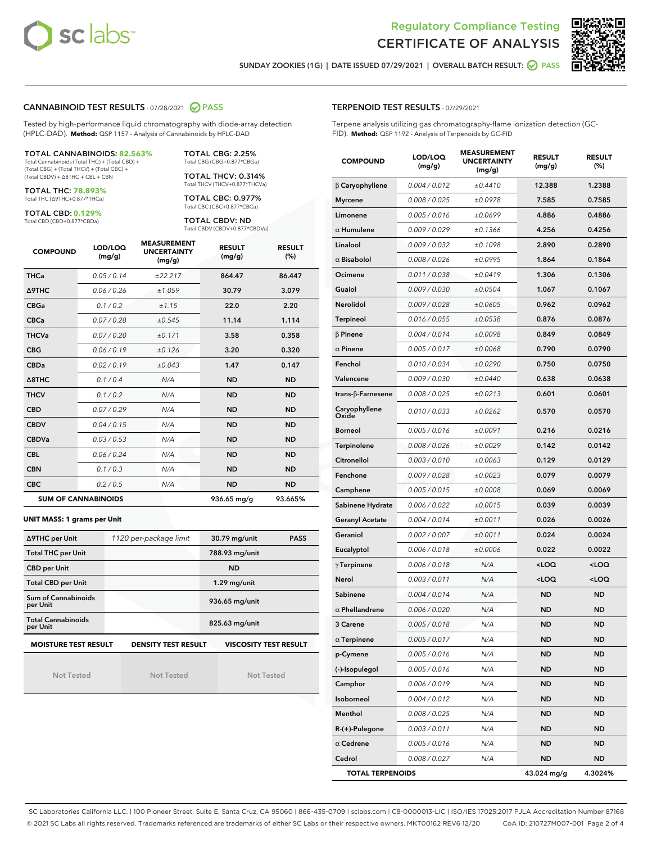



SUNDAY ZOOKIES (1G) | DATE ISSUED 07/29/2021 | OVERALL BATCH RESULT: **● PASS** 

#### CANNABINOID TEST RESULTS - 07/28/2021 2 PASS

Tested by high-performance liquid chromatography with diode-array detection (HPLC-DAD). **Method:** QSP 1157 - Analysis of Cannabinoids by HPLC-DAD

#### TOTAL CANNABINOIDS: **82.563%** Total Cannabinoids (Total THC) + (Total CBD) +

(Total CBG) + (Total THCV) + (Total CBC) + (Total CBDV) + ∆8THC + CBL + CBN

TOTAL THC: **78.893%** Total THC (∆9THC+0.877\*THCa)

TOTAL CBD: **0.129%**

Total CBD (CBD+0.877\*CBDa)

TOTAL CBG: 2.25% Total CBG (CBG+0.877\*CBGa)

TOTAL THCV: 0.314% Total THCV (THCV+0.877\*THCVa)

TOTAL CBC: 0.977% Total CBC (CBC+0.877\*CBCa)

TOTAL CBDV: ND Total CBDV (CBDV+0.877\*CBDVa)

| <b>COMPOUND</b> | LOD/LOQ<br>(mg/g)          | <b>MEASUREMENT</b><br><b>UNCERTAINTY</b><br>(mg/g) | <b>RESULT</b><br>(mg/g) | <b>RESULT</b><br>(%) |
|-----------------|----------------------------|----------------------------------------------------|-------------------------|----------------------|
| <b>THCa</b>     | 0.05/0.14                  | ±22.217                                            | 864.47                  | 86.447               |
| <b>A9THC</b>    | 0.06 / 0.26                | ±1.059                                             | 30.79                   | 3.079                |
| <b>CBGa</b>     | 0.1/0.2                    | ±1.15                                              | 22.0                    | 2.20                 |
| <b>CBCa</b>     | 0.07 / 0.28                | ±0.545                                             | 11.14                   | 1.114                |
| <b>THCVa</b>    | 0.07/0.20                  | ±0.171                                             | 3.58                    | 0.358                |
| <b>CBG</b>      | 0.06/0.19                  | ±0.126                                             | 3.20                    | 0.320                |
| <b>CBDa</b>     | 0.02/0.19                  | ±0.043                                             | 1.47                    | 0.147                |
| A8THC           | 0.1/0.4                    | N/A                                                | <b>ND</b>               | <b>ND</b>            |
| <b>THCV</b>     | 0.1/0.2                    | N/A                                                | <b>ND</b>               | <b>ND</b>            |
| <b>CBD</b>      | 0.07/0.29                  | N/A                                                | <b>ND</b>               | <b>ND</b>            |
| <b>CBDV</b>     | 0.04 / 0.15                | N/A                                                | <b>ND</b>               | <b>ND</b>            |
| <b>CBDVa</b>    | 0.03/0.53                  | N/A                                                | <b>ND</b>               | <b>ND</b>            |
| <b>CBL</b>      | 0.06 / 0.24                | N/A                                                | <b>ND</b>               | <b>ND</b>            |
| <b>CBN</b>      | 0.1/0.3                    | N/A                                                | <b>ND</b>               | <b>ND</b>            |
| <b>CBC</b>      | 0.2 / 0.5                  | N/A                                                | <b>ND</b>               | <b>ND</b>            |
|                 | <b>SUM OF CANNABINOIDS</b> |                                                    | 936.65 mg/g             | 93.665%              |

#### **UNIT MASS: 1 grams per Unit**

| ∆9THC per Unit                        | 1120 per-package limit     | 30.79 mg/unit<br><b>PASS</b> |
|---------------------------------------|----------------------------|------------------------------|
| <b>Total THC per Unit</b>             |                            | 788.93 mg/unit               |
| <b>CBD per Unit</b>                   |                            | <b>ND</b>                    |
| <b>Total CBD per Unit</b>             |                            | $1.29$ mg/unit               |
| Sum of Cannabinoids<br>per Unit       |                            | 936.65 mg/unit               |
| <b>Total Cannabinoids</b><br>per Unit |                            | 825.63 mg/unit               |
| <b>MOISTURE TEST RESULT</b>           | <b>DENSITY TEST RESULT</b> | <b>VISCOSITY TEST RESULT</b> |

Not Tested

Not Tested

Not Tested

#### TERPENOID TEST RESULTS - 07/29/2021

Terpene analysis utilizing gas chromatography-flame ionization detection (GC-FID). **Method:** QSP 1192 - Analysis of Terpenoids by GC-FID

| <b>COMPOUND</b>         | LOD/LOQ<br>(mg/g) | <b>MEASUREMENT</b><br><b>UNCERTAINTY</b><br>(mg/g) | <b>RESULT</b><br>(mg/g)                         | <b>RESULT</b><br>(%) |
|-------------------------|-------------------|----------------------------------------------------|-------------------------------------------------|----------------------|
| $\beta$ Caryophyllene   | 0.004 / 0.012     | ±0.4410                                            | 12.388                                          | 1.2388               |
| <b>Myrcene</b>          | 0.008 / 0.025     | ±0.0978                                            | 7.585                                           | 0.7585               |
| Limonene                | 0.005 / 0.016     | ±0.0699                                            | 4.886                                           | 0.4886               |
| $\alpha$ Humulene       | 0.009 / 0.029     | ±0.1366                                            | 4.256                                           | 0.4256               |
| Linalool                | 0.009 / 0.032     | ±0.1098                                            | 2.890                                           | 0.2890               |
| $\alpha$ Bisabolol      | 0.008 / 0.026     | ±0.0995                                            | 1.864                                           | 0.1864               |
| Ocimene                 | 0.011 / 0.038     | ±0.0419                                            | 1.306                                           | 0.1306               |
| Guaiol                  | 0.009 / 0.030     | ±0.0504                                            | 1.067                                           | 0.1067               |
| Nerolidol               | 0.009 / 0.028     | ±0.0605                                            | 0.962                                           | 0.0962               |
| <b>Terpineol</b>        | 0.016 / 0.055     | ±0.0538                                            | 0.876                                           | 0.0876               |
| $\beta$ Pinene          | 0.004 / 0.014     | ±0.0098                                            | 0.849                                           | 0.0849               |
| $\alpha$ Pinene         | 0.005 / 0.017     | ±0.0068                                            | 0.790                                           | 0.0790               |
| Fenchol                 | 0.010 / 0.034     | ±0.0290                                            | 0.750                                           | 0.0750               |
| Valencene               | 0.009 / 0.030     | ±0.0440                                            | 0.638                                           | 0.0638               |
| trans-ß-Farnesene       | 0.008 / 0.025     | ±0.0213                                            | 0.601                                           | 0.0601               |
| Caryophyllene<br>Oxide  | 0.010 / 0.033     | ±0.0262                                            | 0.570                                           | 0.0570               |
| <b>Borneol</b>          | 0.005 / 0.016     | ±0.0091                                            | 0.216                                           | 0.0216               |
| Terpinolene             | 0.008 / 0.026     | ±0.0029                                            | 0.142                                           | 0.0142               |
| Citronellol             | 0.003 / 0.010     | ±0.0063                                            | 0.129                                           | 0.0129               |
| Fenchone                | 0.009 / 0.028     | ±0.0023                                            | 0.079                                           | 0.0079               |
| Camphene                | 0.005 / 0.015     | ±0.0008                                            | 0.069                                           | 0.0069               |
| Sabinene Hydrate        | 0.006 / 0.022     | ±0.0015                                            | 0.039                                           | 0.0039               |
| <b>Geranyl Acetate</b>  | 0.004 / 0.014     | ±0.0011                                            | 0.026                                           | 0.0026               |
| Geraniol                | 0.002 / 0.007     | ±0.0011                                            | 0.024                                           | 0.0024               |
| Eucalyptol              | 0.006 / 0.018     | ±0.0006                                            | 0.022                                           | 0.0022               |
| $\gamma$ Terpinene      | 0.006 / 0.018     | N/A                                                | <loq< th=""><th><loq< th=""></loq<></th></loq<> | <loq< th=""></loq<>  |
| Nerol                   | 0.003 / 0.011     | N/A                                                | <loq< th=""><th><loq< th=""></loq<></th></loq<> | <loq< th=""></loq<>  |
| Sabinene                | 0.004 / 0.014     | N/A                                                | <b>ND</b>                                       | <b>ND</b>            |
| $\alpha$ Phellandrene   | 0.006 / 0.020     | N/A                                                | ND                                              | <b>ND</b>            |
| <b>3 Carene</b>         | 0.005 / 0.018     | N/A                                                | <b>ND</b>                                       | <b>ND</b>            |
| $\alpha$ Terpinene      | 0.005 / 0.017     | N/A                                                | ND                                              | ND                   |
| p-Cymene                | 0.005 / 0.016     | N/A                                                | ND                                              | ND                   |
| (-)-Isopulegol          | 0.005 / 0.016     | N/A                                                | <b>ND</b>                                       | ND                   |
| Camphor                 | 0.006 / 0.019     | N/A                                                | <b>ND</b>                                       | <b>ND</b>            |
| Isoborneol              | 0.004 / 0.012     | N/A                                                | ND                                              | ND                   |
| Menthol                 | 0.008 / 0.025     | N/A                                                | ND                                              | ND                   |
| R-(+)-Pulegone          | 0.003 / 0.011     | N/A                                                | <b>ND</b>                                       | <b>ND</b>            |
| $\alpha$ Cedrene        | 0.005 / 0.016     | N/A                                                | ND                                              | ND                   |
| Cedrol                  | 0.008 / 0.027     | N/A                                                | <b>ND</b>                                       | ND                   |
| <b>TOTAL TERPENOIDS</b> |                   |                                                    | 43.024 mg/g                                     | 4.3024%              |

SC Laboratories California LLC. | 100 Pioneer Street, Suite E, Santa Cruz, CA 95060 | 866-435-0709 | sclabs.com | C8-0000013-LIC | ISO/IES 17025:2017 PJLA Accreditation Number 87168 © 2021 SC Labs all rights reserved. Trademarks referenced are trademarks of either SC Labs or their respective owners. MKT00162 REV6 12/20 CoA ID: 210727M007-001 Page 2 of 4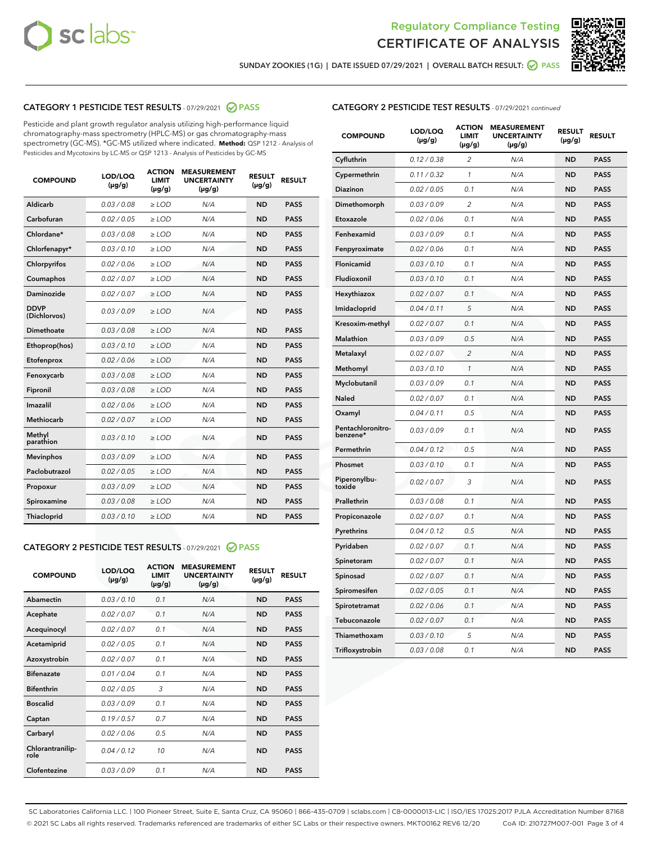



SUNDAY ZOOKIES (1G) | DATE ISSUED 07/29/2021 | OVERALL BATCH RESULT: @ PASS

# CATEGORY 1 PESTICIDE TEST RESULTS - 07/29/2021 2 PASS

Pesticide and plant growth regulator analysis utilizing high-performance liquid chromatography-mass spectrometry (HPLC-MS) or gas chromatography-mass spectrometry (GC-MS). \*GC-MS utilized where indicated. **Method:** QSP 1212 - Analysis of Pesticides and Mycotoxins by LC-MS or QSP 1213 - Analysis of Pesticides by GC-MS

| <b>COMPOUND</b>             | LOD/LOQ<br>$(\mu g/g)$ | <b>ACTION</b><br><b>LIMIT</b><br>$(\mu g/g)$ | <b>MEASUREMENT</b><br><b>UNCERTAINTY</b><br>$(\mu g/g)$ | <b>RESULT</b><br>$(\mu g/g)$ | <b>RESULT</b> |
|-----------------------------|------------------------|----------------------------------------------|---------------------------------------------------------|------------------------------|---------------|
| Aldicarb                    | 0.03 / 0.08            | $\ge$ LOD                                    | N/A                                                     | <b>ND</b>                    | <b>PASS</b>   |
| Carbofuran                  | 0.02/0.05              | $>$ LOD                                      | N/A                                                     | <b>ND</b>                    | <b>PASS</b>   |
| Chlordane*                  | 0.03 / 0.08            | $\ge$ LOD                                    | N/A                                                     | <b>ND</b>                    | <b>PASS</b>   |
| Chlorfenapyr*               | 0.03/0.10              | $\ge$ LOD                                    | N/A                                                     | <b>ND</b>                    | <b>PASS</b>   |
| Chlorpyrifos                | 0.02 / 0.06            | $\ge$ LOD                                    | N/A                                                     | <b>ND</b>                    | <b>PASS</b>   |
| Coumaphos                   | 0.02 / 0.07            | $>$ LOD                                      | N/A                                                     | <b>ND</b>                    | <b>PASS</b>   |
| Daminozide                  | 0.02 / 0.07            | $\ge$ LOD                                    | N/A                                                     | <b>ND</b>                    | <b>PASS</b>   |
| <b>DDVP</b><br>(Dichlorvos) | 0.03/0.09              | $\ge$ LOD                                    | N/A                                                     | <b>ND</b>                    | <b>PASS</b>   |
| <b>Dimethoate</b>           | 0.03/0.08              | $\ge$ LOD                                    | N/A                                                     | <b>ND</b>                    | <b>PASS</b>   |
| Ethoprop(hos)               | 0.03/0.10              | $>$ LOD                                      | N/A                                                     | <b>ND</b>                    | <b>PASS</b>   |
| Etofenprox                  | 0.02 / 0.06            | $\ge$ LOD                                    | N/A                                                     | <b>ND</b>                    | <b>PASS</b>   |
| Fenoxycarb                  | 0.03 / 0.08            | $>$ LOD                                      | N/A                                                     | <b>ND</b>                    | <b>PASS</b>   |
| Fipronil                    | 0.03/0.08              | $\ge$ LOD                                    | N/A                                                     | <b>ND</b>                    | <b>PASS</b>   |
| Imazalil                    | 0.02 / 0.06            | $\ge$ LOD                                    | N/A                                                     | <b>ND</b>                    | <b>PASS</b>   |
| <b>Methiocarb</b>           | 0.02 / 0.07            | $\ge$ LOD                                    | N/A                                                     | <b>ND</b>                    | <b>PASS</b>   |
| Methyl<br>parathion         | 0.03/0.10              | $>$ LOD                                      | N/A                                                     | <b>ND</b>                    | <b>PASS</b>   |
| <b>Mevinphos</b>            | 0.03/0.09              | $>$ LOD                                      | N/A                                                     | <b>ND</b>                    | <b>PASS</b>   |
| Paclobutrazol               | 0.02 / 0.05            | $\ge$ LOD                                    | N/A                                                     | <b>ND</b>                    | <b>PASS</b>   |
| Propoxur                    | 0.03/0.09              | $\ge$ LOD                                    | N/A                                                     | <b>ND</b>                    | <b>PASS</b>   |
| Spiroxamine                 | 0.03 / 0.08            | $\ge$ LOD                                    | N/A                                                     | <b>ND</b>                    | <b>PASS</b>   |
| <b>Thiacloprid</b>          | 0.03/0.10              | $\ge$ LOD                                    | N/A                                                     | <b>ND</b>                    | <b>PASS</b>   |
|                             |                        |                                              |                                                         |                              |               |

## CATEGORY 2 PESTICIDE TEST RESULTS - 07/29/2021 @ PASS

| <b>COMPOUND</b>          | LOD/LOO<br>$(\mu g/g)$ | <b>ACTION</b><br>LIMIT<br>$(\mu g/g)$ | <b>MEASUREMENT</b><br><b>UNCERTAINTY</b><br>$(\mu g/g)$ | <b>RESULT</b><br>$(\mu g/g)$ | <b>RESULT</b> |  |
|--------------------------|------------------------|---------------------------------------|---------------------------------------------------------|------------------------------|---------------|--|
| Abamectin                | 0.03/0.10              | 0.1                                   | N/A                                                     | <b>ND</b>                    | <b>PASS</b>   |  |
| Acephate                 | 0.02/0.07              | 0.1                                   | N/A                                                     | <b>ND</b>                    | <b>PASS</b>   |  |
| Acequinocyl              | 0.02/0.07              | 0.1                                   | N/A                                                     | <b>ND</b>                    | <b>PASS</b>   |  |
| Acetamiprid              | 0.02/0.05              | 0.1                                   | N/A                                                     | <b>ND</b>                    | <b>PASS</b>   |  |
| Azoxystrobin             | 0.02/0.07              | 0.1                                   | N/A                                                     | <b>ND</b>                    | <b>PASS</b>   |  |
| <b>Bifenazate</b>        | 0.01/0.04              | 0.1                                   | N/A                                                     | <b>ND</b>                    | <b>PASS</b>   |  |
| <b>Bifenthrin</b>        | 0.02/0.05              | 3                                     | N/A                                                     | <b>ND</b>                    | <b>PASS</b>   |  |
| <b>Boscalid</b>          | 0.03/0.09              | 0.1                                   | N/A                                                     | <b>ND</b>                    | <b>PASS</b>   |  |
| Captan                   | 0.19/0.57              | 0.7                                   | N/A                                                     | <b>ND</b>                    | <b>PASS</b>   |  |
| Carbaryl                 | 0.02/0.06              | 0.5                                   | N/A                                                     | <b>ND</b>                    | <b>PASS</b>   |  |
| Chlorantranilip-<br>role | 0.04/0.12              | 10                                    | N/A                                                     | <b>ND</b>                    | <b>PASS</b>   |  |
| Clofentezine             | 0.03/0.09              | 0.1                                   | N/A                                                     | <b>ND</b>                    | <b>PASS</b>   |  |

| <b>COMPOUND</b>               | LOD/LOQ<br>(µg/g) | <b>ACTION</b><br>LIMIT<br>$(\mu g/g)$ | <b>MEASUREMENT</b><br><b>UNCERTAINTY</b><br>$(\mu g/g)$ | <b>RESULT</b><br>(µg/g) | <b>RESULT</b> |
|-------------------------------|-------------------|---------------------------------------|---------------------------------------------------------|-------------------------|---------------|
| Cyfluthrin                    | 0.12 / 0.38       | $\overline{2}$                        | N/A                                                     | <b>ND</b>               | <b>PASS</b>   |
| Cypermethrin                  | 0.11 / 0.32       | $\mathcal{I}$                         | N/A                                                     | <b>ND</b>               | <b>PASS</b>   |
| Diazinon                      | 0.02 / 0.05       | 0.1                                   | N/A                                                     | <b>ND</b>               | <b>PASS</b>   |
| Dimethomorph                  | 0.03 / 0.09       | $\overline{2}$                        | N/A                                                     | <b>ND</b>               | <b>PASS</b>   |
| Etoxazole                     | 0.02 / 0.06       | 0.1                                   | N/A                                                     | <b>ND</b>               | <b>PASS</b>   |
| Fenhexamid                    | 0.03 / 0.09       | 0.1                                   | N/A                                                     | <b>ND</b>               | <b>PASS</b>   |
| Fenpyroximate                 | 0.02 / 0.06       | 0.1                                   | N/A                                                     | <b>ND</b>               | <b>PASS</b>   |
| Flonicamid                    | 0.03 / 0.10       | 0.1                                   | N/A                                                     | <b>ND</b>               | <b>PASS</b>   |
| Fludioxonil                   | 0.03/0.10         | 0.1                                   | N/A                                                     | <b>ND</b>               | <b>PASS</b>   |
| Hexythiazox                   | 0.02 / 0.07       | 0.1                                   | N/A                                                     | <b>ND</b>               | <b>PASS</b>   |
| Imidacloprid                  | 0.04 / 0.11       | 5                                     | N/A                                                     | <b>ND</b>               | <b>PASS</b>   |
| Kresoxim-methyl               | 0.02 / 0.07       | 0.1                                   | N/A                                                     | <b>ND</b>               | <b>PASS</b>   |
| Malathion                     | 0.03 / 0.09       | 0.5                                   | N/A                                                     | <b>ND</b>               | <b>PASS</b>   |
| Metalaxyl                     | 0.02 / 0.07       | $\overline{2}$                        | N/A                                                     | <b>ND</b>               | <b>PASS</b>   |
| Methomyl                      | 0.03 / 0.10       | 1                                     | N/A                                                     | <b>ND</b>               | <b>PASS</b>   |
| Myclobutanil                  | 0.03 / 0.09       | 0.1                                   | N/A                                                     | <b>ND</b>               | <b>PASS</b>   |
| Naled                         | 0.02 / 0.07       | 0.1                                   | N/A                                                     | <b>ND</b>               | <b>PASS</b>   |
| Oxamyl                        | 0.04 / 0.11       | 0.5                                   | N/A                                                     | <b>ND</b>               | <b>PASS</b>   |
| Pentachloronitro-<br>benzene* | 0.03 / 0.09       | 0.1                                   | N/A                                                     | <b>ND</b>               | <b>PASS</b>   |
| Permethrin                    | 0.04 / 0.12       | 0.5                                   | N/A                                                     | <b>ND</b>               | <b>PASS</b>   |
| Phosmet                       | 0.03 / 0.10       | 0.1                                   | N/A                                                     | <b>ND</b>               | <b>PASS</b>   |
| Piperonylbu-<br>toxide        | 0.02 / 0.07       | 3                                     | N/A                                                     | <b>ND</b>               | <b>PASS</b>   |
| Prallethrin                   | 0.03 / 0.08       | 0.1                                   | N/A                                                     | <b>ND</b>               | <b>PASS</b>   |
| Propiconazole                 | 0.02 / 0.07       | 0.1                                   | N/A                                                     | <b>ND</b>               | <b>PASS</b>   |
| Pyrethrins                    | 0.04 / 0.12       | 0.5                                   | N/A                                                     | <b>ND</b>               | <b>PASS</b>   |
| Pyridaben                     | 0.02 / 0.07       | 0.1                                   | N/A                                                     | <b>ND</b>               | <b>PASS</b>   |
| Spinetoram                    | 0.02 / 0.07       | 0.1                                   | N/A                                                     | <b>ND</b>               | <b>PASS</b>   |
| Spinosad                      | 0.02 / 0.07       | 0.1                                   | N/A                                                     | <b>ND</b>               | <b>PASS</b>   |
| Spiromesifen                  | 0.02 / 0.05       | 0.1                                   | N/A                                                     | <b>ND</b>               | <b>PASS</b>   |
| Spirotetramat                 | 0.02 / 0.06       | 0.1                                   | N/A                                                     | <b>ND</b>               | <b>PASS</b>   |
| Tebuconazole                  | 0.02 / 0.07       | 0.1                                   | N/A                                                     | <b>ND</b>               | <b>PASS</b>   |
| Thiamethoxam                  | 0.03 / 0.10       | 5                                     | N/A                                                     | <b>ND</b>               | <b>PASS</b>   |
| Trifloxystrobin               | 0.03 / 0.08       | 0.1                                   | N/A                                                     | <b>ND</b>               | <b>PASS</b>   |

SC Laboratories California LLC. | 100 Pioneer Street, Suite E, Santa Cruz, CA 95060 | 866-435-0709 | sclabs.com | C8-0000013-LIC | ISO/IES 17025:2017 PJLA Accreditation Number 87168 © 2021 SC Labs all rights reserved. Trademarks referenced are trademarks of either SC Labs or their respective owners. MKT00162 REV6 12/20 CoA ID: 210727M007-001 Page 3 of 4